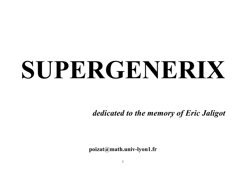# **SUPERGENERIX**

*dedicated to the memory of Eric Jaligot*

**poizat@math.univ-lyon1.fr**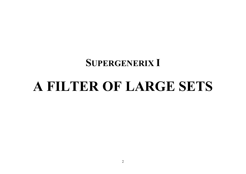#### **SUPERGENERIX I**

# **A FILTER OF LARGE SETS**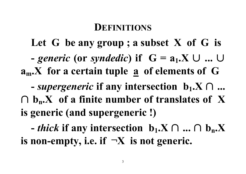## **DEFINITIONS**

**Let G be any group ; a subset X of G is**  $\bullet$  *generic* (or *syndedic*) if  $G = a_1.X \cup ...$ **am.X for a certain tuple a of elements of G**  $\mathbf{F}$  - *supergeneric* if any intersection  $\mathbf{b}_1 \cdot \mathbf{X} \cap \dots$  $\bigcap$  **b**<sub>n</sub>**.X** of a finite number of translates of X **is generic (and supergeneric !)**

**-** *thick* if any intersection **b**<sub>1</sub>.X ∩ ... ∩ **b**<sub>n</sub>.X **is** non-empty, i.e. if  $\neg X$  is not generic.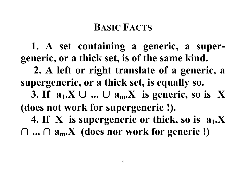## **BASIC FACTS**

**1. A set containing a generic, a supergeneric, or a thick set, is of the same kind. 2. A left or right translate of a generic, a supergeneric, or a thick set, is equally so. 3.** If  $a_1.X \cup ... \cup a_m.X$  is generic, so is X **(does not work for supergeneric !). 4. If X is supergeneric or thick, so is a1.X**  $\cap$  ...  $\cap$   $a_m$   $X$  (does nor work for generic !)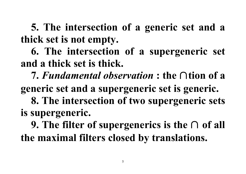**5. The intersection of a generic set and a thick set is not empty.**

**6. The intersection of a supergeneric set and a thick set is thick.**

**7.** *Fundamental observation* **: the** ∩**tion of a generic set and a supergeneric set is generic. 8. The intersection of two supergeneric sets**

## **is supergeneric.**

**9. The filter of supergenerics is the** ∩ **of all the maximal filters closed by translations.**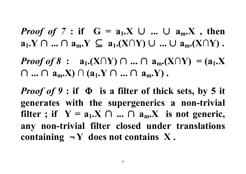*Proof of* 7 : if  $G = a_1.X \cup ... \cup a_m.X$ , then **a**<sub>1</sub>.Y ∩ ... ∩ **a**<sub>m</sub>.Y ⊆ **a**<sub>1</sub>.(X∩Y) ∪ ... ∪ **a**<sub>m</sub>.(X∩Y) .

 $Proof of 8: a_1.(X \cap Y) \cap ... \cap a_m.(X \cap Y) = (a_1.X)$ ∩ **...** ∩ **am.X) ∩ (a1.Y** ∩ **...** ∩ **am.Y) .**

*Proof* **of 9 : if**  $\Phi$  **is a filter of thick sets, by 5 it generates with the supergenerics a non-trivial filter**; if  $Y = a_1.X \cap ... \cap a_m.X$  is not generic, **any non-trivial filter closed under translations containing**  $\neg$  **Y** does not contains X.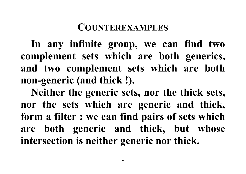### **COUNTEREXAMPLES**

**In any infinite group, we can find two complement sets which are both generics, and two complement sets which are both non-generic (and thick !).**

**Neither the generic sets, nor the thick sets, nor the sets which are generic and thick, form a filter : we can find pairs of sets which are both generic and thick, but whose intersection is neither generic nor thick.**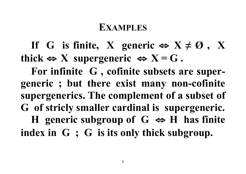#### **EXAMPLES**

**If** G is finite, X generic  $\Leftrightarrow$   $X \neq \emptyset$ , X **thick**  $\Leftrightarrow$  **X** supergeneric  $\Leftrightarrow$  **X** = **G**.

**For infinite G , cofinite subsets are supergeneric ; but there exist many non-cofinite supergenerics. The complement of a subset of G of stricly smaller cardinal is supergeneric. H** generic subgroup of  $G \Leftrightarrow H$  has finite **index in G ; G is its only thick subgroup.**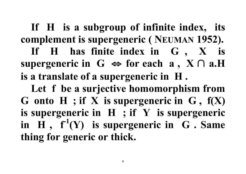**If H is a subgroup of infinite index, its complement is supergeneric ( NEUMAN 1952). If H has finite index in G , X is** supergeneric in  $G$   $\Leftrightarrow$  for each  $a$ ,  $X \cap a$ .H **is a translate of a supergeneric in H .**

**Let f be a surjective homomorphism from G onto H ; if X is supergeneric in G , f(X) is supergeneric in H ; if Y is supergeneric in H , f -1 (Y) is supergeneric in G . Same thing for generic or thick.**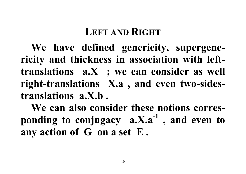## **LEFT AND RIGHT**

**We have defined genericity, supergenericity and thickness in association with lefttranslations a.X ; we can consider as well right-translations X.a , and even two-sidestranslations a.X.b .**

**We can also consider these notions corresponding to conjugacy a.X.a-1 , and even to any action of G on a set E .**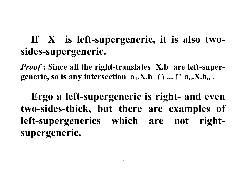## **If X is left-supergeneric, it is also twosides-supergeneric.**

*Proof* **: Since all the right-translates X.b are left-supergeneric, so is any intersection**  $a_1$ **.X.b<sub>1</sub> ∩ ... ∩**  $a_n$ **.X.b<sub>n</sub>.** 

**Ergo a left-supergeneric is right- and even two-sides-thick, but there are examples of left-supergenerics which are not rightsupergeneric.**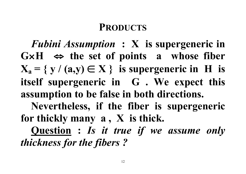## **PRODUCTS**

*Fubini Assumption* **: X is supergeneric in**  $G \times H \Leftrightarrow$  the set of points a whose fiber  $X_a = \{ y \mid (a, y) \in X \}$  is supergeneric in H is **itself supergeneric in G . We expect this assumption to be false in both directions.**

**Nevertheless, if the fiber is supergeneric for thickly many a , X is thick.**

**Question :** *Is it true if we assume only thickness for the fibers ?*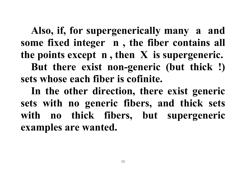**Also, if, for supergenerically many a and some fixed integer n , the fiber contains all the points except n , then X is supergeneric. But there exist non-generic (but thick !) sets whose each fiber is cofinite.**

**In the other direction, there exist generic sets with no generic fibers, and thick sets with no thick fibers, but supergeneric examples are wanted.**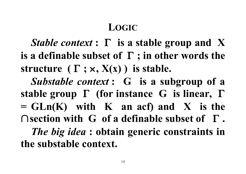## **LOGIC**

*Stable context* **:** Γ **is a stable group and X is a definable subset of** Γ **; in other words the structure**  $(\Gamma; \times, X(x))$  is stable.

*Substable context* **: G is a subgroup of a stable group** Γ **(for instance G is linear,** Γ **= GLn(K) with K an acf) and X is the** ∩**section with G of a definable subset of** Γ **.** *The big idea* **: obtain generic constraints in the substable context.**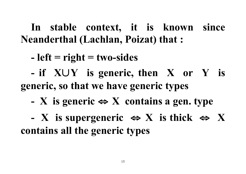**In stable context, it is known since Neanderthal (Lachlan, Poizat) that :**

**- left = right = two-sides**

**- if X**∪**Y is generic, then X or Y is generic, so that we have generic types**

**- X is generic** ⇔ **X contains a gen. type**

**- X is supergeneric** ⇔ **X is thick** ⇔ **X contains all the generic types**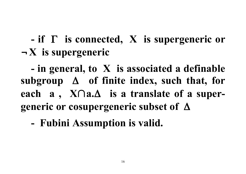## **- if** Γ **is connected, X is supergeneric or** ¬**X is supergeneric**

**- in general, to X is associated a definable subgroup** Δ **of finite index, such that, for each a , X**∩**a.**Δ **is a translate of a supergeneric or cosupergeneric subset of** Δ

**- Fubini Assumption is valid.**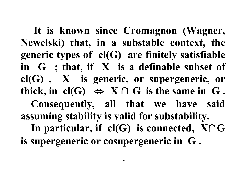**It is known since Cromagnon (Wagner, Newelski) that, in a substable context, the generic types of cl(G) are finitely satisfiable in G ; that, if X is a definable subset of cl(G) , X is generic, or supergeneric, or thick,** in **cl(G)**  $\Leftrightarrow$  **X** ∩ **G** is the same in **G**. **Consequently, all that we have said assuming stability is valid for substability. In particular, if cl(G) is connected, X**∩**G is supergeneric or cosupergeneric in G .**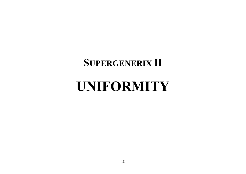## **SUPERGENERIX II**

# **UNIFORMITY**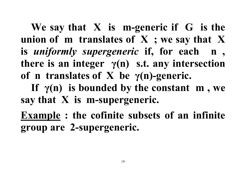**We say that X is m-generic if G is the union of m translates of X ; we say that X is** *uniformly supergeneric* **if, for each n , there is an integer γ(n) s.t. any intersection of n translates of X be γ(n)-generic.**

**If γ(n) is bounded by the constant m , we say that X is m-supergeneric.**

**Example : the cofinite subsets of an infinite group are 2-supergeneric.**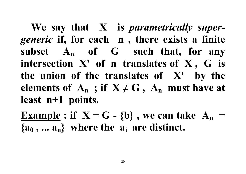**We say that X is** *parametrically supergeneric* **if, for each n , there exists a finite subset An of G such that, for any intersection X' of n translates of X , G is the union of the translates of X' by the elements of**  $A_n$ **; if**  $X \neq G$ **,**  $A_n$  **must have at least n+1 points.**

**Example**: if  $X = G - \{b\}$ , we can take  $A_n$  $\{a_0, \ldots, a_n\}$  where the  $a_i$  are distinct.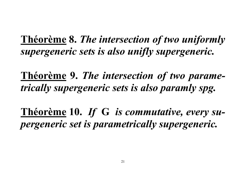**Théorème 8.** *The intersection of two uniformly supergeneric sets is also unifly supergeneric.*

**Théorème 9.** *The intersection of two parametrically supergeneric sets is also paramly spg.*

**Théorème 10.** *If* **G** *is commutative, every supergeneric set is parametrically supergeneric.*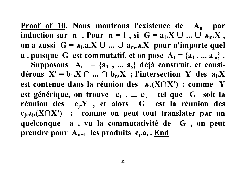**Proof of 10. Nous montrons l'existence de An par induction** sur **n** . Pour **n** = 1, si  $G = a_1.X \cup ... \cup a_m.X$ , **on a** aussi  $G = a_1.a.X ∪ ... ∪ a_m.a.X$  pour n'importe quel **a**, puisque G est commutatif, et on pose  $A_1 = \{a_1, ..., a_m\}$ . Supposons  $A_n = \{a_1, \ldots, a_s\}$  déjà construit, et consi**dérons**  $X' = b_1.X ∩ ... ∩ b_n.X$ ; l'intersection Y des  $a_i.X$ **est contenue dans la réunion des ai.(X**∩**X') ; comme Y est générique, on trouve**  $c_1$ , ...  $c_k$  **tel que** G **soit** la **réunion des cj.Y , et alors G est la réunion des cj.ai.(X**∩**X') ; comme on peut tout translater par un quelconque a , vu la commutativité de G , on peut** prendre pour A<sub>n+1</sub> les produits c<sub>i</sub>.a<sub>i</sub>. End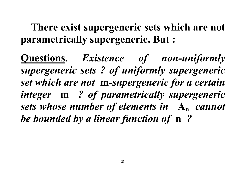**There exist supergeneric sets which are not parametrically supergeneric. But :**

**Questions.** *Existence of non-uniformly supergeneric sets ? of uniformly supergeneric set which are not* **m***-supergeneric for a certain integer* **m** *? of parametrically supergeneric sets whose number of elements in* **An** *cannot be bounded by a linear function of* **n** *?*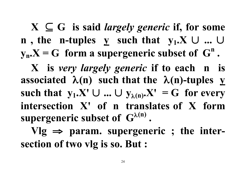$X \subseteq G$  is said *largely generic* if, for some **n**, the **n-tuples**  $\bf{y}$  **such** that  $\bf{y}_1$ . $\bf{X}$   $\bf{U}$  ...  $\bf{U}$  $y_n$ **.X** = G **form a** supergeneric subset of  $G^n$ . **X is** *very largely generic* **if to each n is associated**  $\lambda(n)$  **such** that the  $\lambda(n)$ -tuples **y** such that  $y_1$ .X'  $\cup$  ...  $\cup$   $y_{\lambda(n)}$ .X' = G for every **intersection X' of n translates of X form supergeneric subset of G**<sup>λ</sup>**(n) .**  $Vlg \implies$  param. supergeneric ; the inter-

**section of two vlg is so. But :**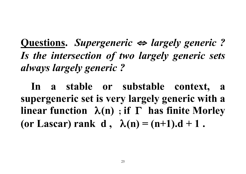**Questions.** *Supergeneric* <sup>⇔</sup> *largely generic ? Is the intersection of two largely generic sets always largely generic ?*

**In a stable or substable context, a supergeneric set is very largely generic with a linear function** λ**(n) ; if** Γ **has finite Morley (or Lascar) rank d ,** λ**(n) = (n+1).d + 1 .**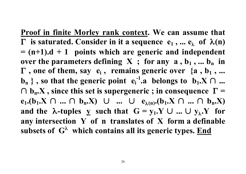**Proof in finite Morley rank context. We can assume that**  Γ **is saturated. Consider in it a sequence e1 , ... e**<sup>λ</sup> **of** λ**(n) = (n+1).d + 1 points which are generic and independent over** the parameters defining  $X$ ; for any  $a, b_1, ...$   $b_n$  in Γ **, one of them, say ei , remains generic over {a , b1 , ... b**<sub>n</sub> }, so that the generic point  $e_i^{-1}$ . a belongs to  $b_1$ . X  $\cap$  ... ∩ **bn.X , since this set is supergeneric ; in consequence** Γ **= e**<sub>1</sub>.(**b**<sub>1</sub>.X ∩ ... ∩ **b**<sub>n</sub>.X) ∪ ... ∪ **e**<sub> $\lambda(n)$ </sub>.(**b**<sub>1</sub>.X ∩ ... ∩ **b**<sub>n</sub>.X) **and** the  $\lambda$ -tuples **y** such that  $G = y_1 \cdot Y \cup ... \cup y_\lambda \cdot Y$  for **any intersection Y of n translates of X form a definable subsets of G**<sup>λ</sup>  **which contains all its generic types. End**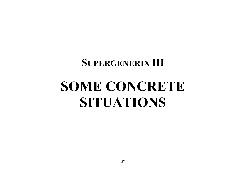## **SUPERGENERIX III**

# **SOME CONCRETE SITUATIONS**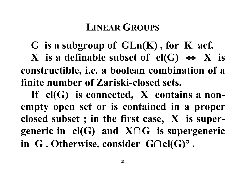## **LINEAR GROUPS**

**G is a subgroup of GLn(K) , for K acf. X is a definable subset of cl(G)** ⇔ **X is constructible, i.e. a boolean combination of a finite number of Zariski-closed sets.**

**If cl(G) is connected, X contains a nonempty open set or is contained in a proper closed subset ; in the first case, X is supergeneric in cl(G) and X**∩**G is supergeneric in G . Otherwise, consider G**∩**cl(G)° .**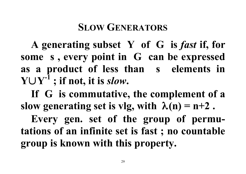## **SLOW GENERATORS**

**A generating subset Y of G is** *fast* **if, for some s , every point in G can be expressed as a product of less than s elements in Y**∪**Y-1 ; if not, it is** *slow***.**

**If G is commutative, the complement of a slow generating set is vlg, with**  $\lambda(n) = n+2$ .

**Every gen. set of the group of permutations of an infinite set is fast ; no countable group is known with this property.**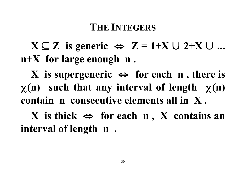## **THE INTEGERS**

 $X ⊆ Z$  is generic ⇔  $Z = 1+X \cup 2+X \cup ...$ **n+X for large enough n .**

**X is supergeneric** ⇔ **for each n , there is** χ**(n) such that any interval of length** χ**(n) contain n consecutive elements all in X .**

 $X$  is thick  $\Leftrightarrow$  for each  $n$ ,  $X$  contains an **interval of length n .**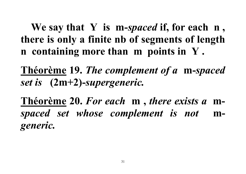**We say that Y is m-***spaced* **if, for each n , there is only a finite nb of segments of length n containing more than m points in Y .**

**Théorème 19.** *The complement of a* **m-***spaced set is* **(2m+2)-***supergeneric.*

**Théorème 20.** *For each* **m ,** *there exists a* **m***spaced set whose complement is not* **m***generic.*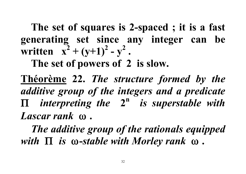**The set of squares is 2-spaced ; it is a fast generating set since any integer can be written**  $x^2 + (y+1)^2 - y^2$ .

**The set of powers of 2 is slow.**

**Théorème 22.** *The structure formed by the additive group of the integers and a predicate* Π *interpreting the* **2n** *is superstable with Lascar rank* ω **.**

*The additive group of the rationals equipped with* Π *is* ω**-***stable with Morley rank* ω **.**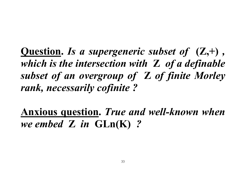**Question.** *Is a supergeneric subset of* **(Z,+)** *, which is the intersection with* **Z** *of a definable subset of an overgroup of* **Z** *of finite Morley rank, necessarily cofinite ?*

**Anxious question.** *True and well-known when we embed* **Z** *in* **GLn(K)** *?*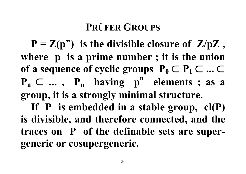## **PRÜFER GROUPS**

 $P = Z(p^{\infty})$  is the divisible closure of  $Z/pZ$ , **where p is a prime number ; it is the union of a sequence of cyclic groups**  $P_0 \subset P_1 \subset ... \subset$  $P_n \subset \ldots$ ,  $P_n$  having  $p^n$  elements; as a **group, it is a strongly minimal structure.**

**If P is embedded in a stable group, cl(P) is divisible, and therefore connected, and the traces on P of the definable sets are supergeneric or cosupergeneric.**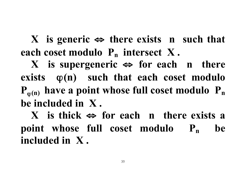**X is generic** ⇔ **there exists n such that each coset modulo P<sub>n</sub> intersect** X.

**X is supergeneric** ⇔ **for each n there**  $\mathbf{exists} \quad \varphi(n)$  such that each coset modulo  $P_{\varphi(n)}$  have a point whose full coset modulo  $P_n$ **be included in X .**

**X is thick** ⇔ **for each n there exists a point** whose full coset modulo  $P_n$  be **included in X .**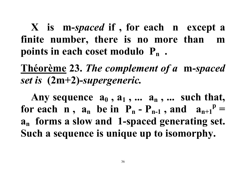**X is m-***spaced* **if , for each n except a finite number, there is no more than m points in each coset modulo Pn .**

**Théorème 23.** *The complement of a* **m-***spaced set is* **(2m+2)-***supergeneric.*

Any sequence  $a_0$ ,  $a_1$ ,  $\ldots$   $a_n$ ,  $\ldots$  such that, **for each n**,  $a_n$  **be in**  $P_n - P_{n-1}$ , **and**  $a_{n+1}^p =$ **an forms a slow and 1-spaced generating set. Such a sequence is unique up to isomorphy.**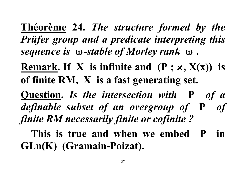**Théorème 24.** *The structure formed by the Prüfer group and a predicate interpreting this sequence is* ω*-stable of Morley rank* ω **.**

**Remark. If X is infinite and (P ;** ×**, X(x)) is of finite RM, X is a fast generating set.**

**Question.** *Is the intersection with* **P** *of a definable subset of an overgroup of* **P** *of finite RM necessarily finite or cofinite ?*

**This is true and when we embed P in GLn(K) (Gramain-Poizat).**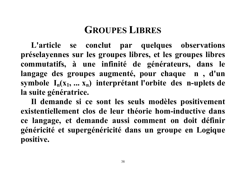## **GROUPES LIBRES**

**L'article se conclut par quelques observations préselayennes sur les groupes libres, et les groupes libres commutatifs, à une infinité de générateurs, dans le langage des groupes augmenté, pour chaque n , d'un symbole In(x1, ... xn) interprétant l'orbite des n-uplets de la suite génératrice.**

**Il demande si ce sont les seuls modèles positivement existentiellement clos de leur théorie hom-inductive dans ce langage, et demande aussi comment on doit définir généricité et supergénéricité dans un groupe en Logique positive.**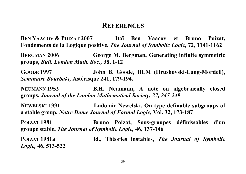#### **REFERENCES**

**BEN YAACOV & POIZAT 2007 Itaï Ben Yaacov et Bruno Poizat, Fondements de la Logique positive,** *The Journal of Symbolic Logic,* **72, 1141-1162**

**BERGMAN 2006 George M. Bergman, Generating infinite symmetric groups,** *Bull. London Math. Soc.,* **38, 1-12**

**GOODE 1997 John B. Goode, HLM (Hrushovski-Lang-Mordell),** *Séminaire Bourbaki,* **Astérisque 241, 179-194.**

**NEUMANN 1952 B.H. Neumann, A note on algebraically closed groups,** *Journal of the London Mathematical Society, 27, 247-249*

**NEWELSKI 1991 Ludomir Newelski, On type definable subgroups of a stable group,** *Notre Dame Journal of Formal Logic,* **Vol. 32, 173-187**

**POIZAT 1981 Bruno Poizat, Sous-groupes définissables d'un groupe stable,** *The Journal of Symbolic Logic,* **46, 137-146**

*Logic,* **46, 513-522**

**POIZAT 1981a Id., Théories instables,** *The Journal of Symbolic*